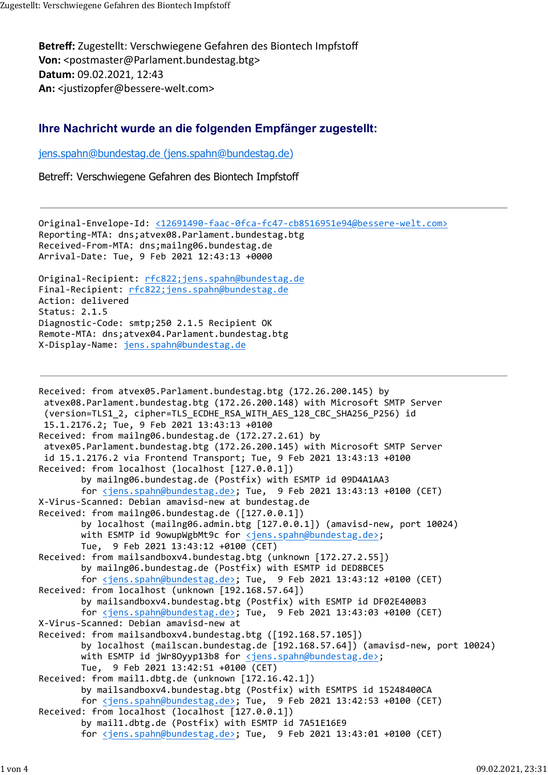Betreff: Zugestellt: Verschwiegene Gefahren des Biontech Impfstoff Von: <postmaster@Parlament.bundestag.btg> Datum: 09.02.2021, 12:43 An: <iustizopfer@bessere-welt.com> Zugestellt: Verschwiegene Gefahren des Biontech Impfstoff<br>**Betreff:** Zugestellt: Verschwiegene Gefahren des Biontech Impfstoff<br>**Von:** <postmaster@Parlament.bundestag.btg>

## Ihre Nachricht wurde an die folgenden Empfänger zugestellt:

jens.spahn@bundestag.de (jens.spahn@bundestag.de)

Betreff: Verschwiegene Gefahren des Biontech Impfstoff

Original-Envelope-Id: <12691490-faac-0fca-fc47-cb8516951e94@bessere-welt.com> Reporting-MTA: dns;atvex08.Parlament.bundestag.btg Received-From-MTA: dns;mailng06.bundestag.de Arrival-Date: Tue, 9 Feb 2021 12:43:13 +0000 Original-Recipient: rfc822;jens.spahn@bundestag.de Final-Recipient: rfc822;jens.spahn@bundestag.de Action: delivered Status: 2.1.5 Diagnostic-Code: smtp;250 2.1.5 Recipient OK Remote-MTA: dns;atvex04.Parlament.bundestag.btg X-Display-Name: jens.spahn@bundestag.de

```
Received: from atvex05.Parlament.bundestag.btg (172.26.200.145) by
  atvex08.Parlament.bundestag.btg (172.26.200.148) with Microsoft SMTP Server
  (version=TLS1_2, cipher=TLS_ECDHE_RSA_WITH_AES_128_CBC_SHA256_P256) id
  15.1.2176.2; Tue, 9 Feb 2021 13:43:13 +0100
Received: from mailng06.bundestag.de (172.27.2.61) by
  atvex05.Parlament.bundestag.btg (172.26.200.145) with Microsoft SMTP Server
  id 15.1.2176.2 via Frontend Transport; Tue, 9 Feb 2021 13:43:13 +0100
Received: from localhost (localhost [127.0.0.1])
        by mailng06.bundestag.de (Postfix) with ESMTP id 09D4A1AA3
        for <jens.spahn@bundestag.de>; Tue, 9 Feb 2021 13:43:13 +0100 (CET)
X-Virus-Scanned: Debian amavisd-new at bundestag.de
Received: from mailng06.bundestag.de ([127.0.0.1])
        by localhost (mailng06.admin.btg [127.0.0.1]) (amavisd-new, port 10024)
        with ESMTP id 9owupWgbMt9c for <jens.spahn@bundestag.de>;
        Tue, 9 Feb 2021 13:43:12 +0100 (CET)
Received: from mailsandboxv4.bundestag.btg (unknown [172.27.2.55])
        by mailng06.bundestag.de (Postfix) with ESMTP id DED8BCE5
        for <jens.spahn@bundestag.de>; Tue, 9 Feb 2021 13:43:12 +0100 (CET)
Received: from localhost (unknown [192.168.57.64])
        by mailsandboxv4.bundestag.btg (Postfix) with ESMTP id DF02E400B3
        for <jens.spahn@bundestag.de>; Tue, 9 Feb 2021 13:43:03 +0100 (CET)
X-Virus-Scanned: Debian amavisd-new at 
Received: from mailsandboxv4.bundestag.btg ([192.168.57.105])
        by localhost (mailscan.bundestag.de [192.168.57.64]) (amavisd-new, port 10024)
        with ESMTP id jWr8Oyyp13b8 for <jens.spahn@bundestag.de>;
        Tue, 9 Feb 2021 13:42:51 +0100 (CET)
Received: from mail1.dbtg.de (unknown [172.16.42.1])
        by mailsandboxv4.bundestag.btg (Postfix) with ESMTPS id 15248400CA
        for <jens.spahn@bundestag.de>; Tue, 9 Feb 2021 13:42:53 +0100 (CET)
Received: from localhost (localhost [127.0.0.1])
        by mail1.dbtg.de (Postfix) with ESMTP id 7A51E16E9
        for <jens.spahn@bundestag.de>; Tue, 9 Feb 2021 13:43:01 +0100 (CET)
```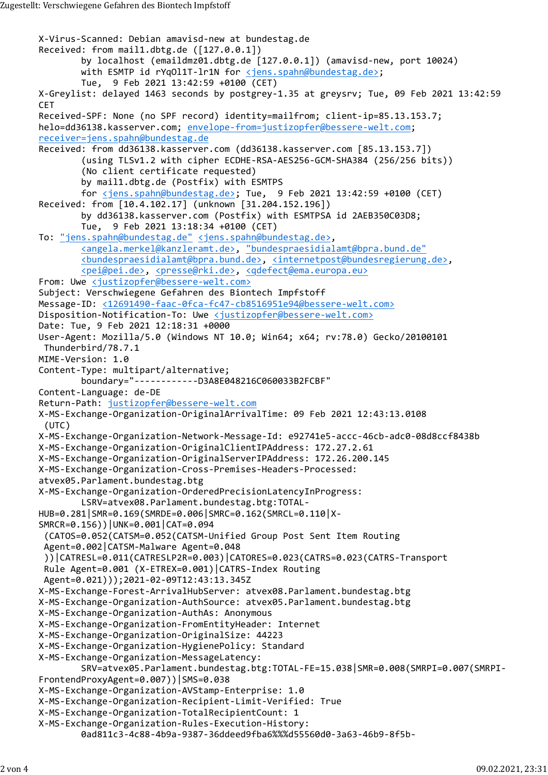X-Virus-Scanned: Debian amavisd-new at bundestag.de Received: from mail1.dbtg.de ([127.0.0.1]) by localhost (emaildmz01.dbtg.de [127.0.0.1]) (amavisd-new, port 10024) with ESMTP id rYq011T-1r1N for <u><jens.spahn@bundestag.de></u>; Tue, 9 Feb 2021 13:42:59 +0100 (CET) X-Greylist: delayed 1463 seconds by postgrey-1.35 at greysrv; Tue, 09 Feb 2021 13:42:59 **CET CET** Received-SPF: None (no SPF record) identity=mailfrom; client-ip=85.13.153.7; helo=dd36138.kasserver.com; envelope-from=justizopfer@bessere-welt.com; receiver=jens.spahn@bundestag.de Received: from dd36138.kasserver.com (dd36138.kasserver.com [85.13.153.7]) (using TLSv1.2 with cipher ECDHE-RSA-AES256-GCM-SHA384 (256/256 bits)) (No client certificate requested) by mail1.dbtg.de (Postfix) with ESMTPS for  $\leq$ jens.spahn@bundestag.de>; Tue, 9 Feb 2021 13:42:59 +0100 (CET) Received: from [10.4.102.17] (unknown [31.204.152.196]) by dd36138.kasserver.com (Postfix) with ESMTPSA id 2AEB350C03D8; Tue, 9 Feb 2021 13:18:34 +0100 (CET) To: "jens.spahn@bundestag.de" <jens.spahn@bundestag.de>, <angela.merkel@kanzleramt.de>, "bundespraesidialamt@bpra.bund.de" <bundespraesidialamt@bpra.bund.de>, <internetpost@bundesregierung.de>, <pei@pei.de>, <presse@rki.de>, <qdefect@ema.europa.eu> From: Uwe <justizopfer@bessere-welt.com> Subject: Verschwiegene Gefahren des Biontech Impfstoff Message-ID: <12691490-faac-0fca-fc47-cb8516951e94@bessere-welt.com> Disposition-Notification-To: Uwe <justizopfer@bessere-welt.com> Date: Tue, 9 Feb 2021 12:18:31 +0000 User-Agent: Mozilla/5.0 (Windows NT 10.0; Win64; x64; rv:78.0) Gecko/20100101 Thunderbird/78.7.1 MIME-Version: 1.0 Content-Type: multipart/alternative; boundary="------------D3A8E048216C060033B2FCBF" Content-Language: de-DE Return-Path: justizopfer@bessere-welt.com X-MS-Exchange-Organization-OriginalArrivalTime: 09 Feb 2021 12:43:13.0108 (UTC) X-MS-Exchange-Organization-Network-Message-Id: e92741e5-accc-46cb-adc0-08d8ccf8438b X-MS-Exchange-Organization-OriginalClientIPAddress: 172.27.2.61 X-MS-Exchange-Organization-OriginalServerIPAddress: 172.26.200.145 X-MS-Exchange-Organization-Cross-Premises-Headers-Processed: atvex05.Parlament.bundestag.btg X-MS-Exchange-Organization-OrderedPrecisionLatencyInProgress: LSRV=atvex08.Parlament.bundestag.btg:TOTAL-HUB=0.281|SMR=0.169(SMRDE=0.006|SMRC=0.162(SMRCL=0.110|X-SMRCR=0.156))|UNK=0.001|CAT=0.094 (CATOS=0.052(CATSM=0.052(CATSM-Unified Group Post Sent Item Routing Agent=0.002|CATSM-Malware Agent=0.048 ))|CATRESL=0.011(CATRESLP2R=0.003)|CATORES=0.023(CATRS=0.023(CATRS-Transport Rule Agent=0.001 (X-ETREX=0.001)|CATRS-Index Routing Agent=0.021)));2021-02-09T12:43:13.345Z X-MS-Exchange-Forest-ArrivalHubServer: atvex08.Parlament.bundestag.btg X-MS-Exchange-Organization-AuthSource: atvex05.Parlament.bundestag.btg X-MS-Exchange-Organization-AuthAs: Anonymous X-MS-Exchange-Organization-FromEntityHeader: Internet X-MS-Exchange-Organization-OriginalSize: 44223 X-MS-Exchange-Organization-HygienePolicy: Standard X-MS-Exchange-Organization-MessageLatency: SRV=atvex05.Parlament.bundestag.btg:TOTAL-FE=15.038|SMR=0.008(SMRPI=0.007(SMRPI-FrontendProxyAgent=0.007))|SMS=0.038 X-MS-Exchange-Organization-AVStamp-Enterprise: 1.0 X-MS-Exchange-Organization-Recipient-Limit-Verified: True X-MS-Exchange-Organization-TotalRecipientCount: 1 X-MS-Exchange-Organization-Rules-Execution-History: 0ad811c3-4c88-4b9a-9387-36ddeed9fba6%%%d55560d0-3a63-46b9-8f5b-Zugestellt:Verschwiegene Gefahren des Biontech Impfstoff<br>X-Virus-Scanned: Debian amavisd-new at bundestag.de<br>Received: from mail1.dbtg.de ([127.0.0.1])<br>by localhost (emaildmz01.dbtg.de [127.0.0.1]) (amavisd-new, port 10024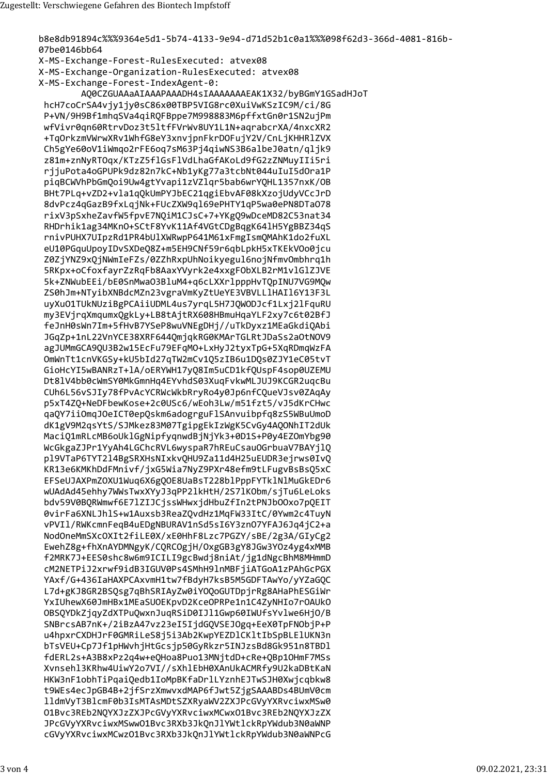b8e8db91894c%%%9364e5d1-5b74-4133-9e94-d71d52b1c0a1%%%098f62d3-366d-4081-816b-07be0146bb64 X-MS-Exchange-Forest-RulesExecuted: atvex08 X-MS-Exchange-Organization-RulesExecuted: atvex08 X-MS-Exchange-Forest-IndexAgent-0: AQ0CZGUAAaAIAAAPAAADH4sIAAAAAAAEAK1X32/byBGmY1GSadHJoT hcH7coCrSA4vjy1jy0sC86x00TBP5VIG8rc0XuiVwKSzIC9M/ci/8G P+VN/9H9Bf1mhqSVa4qiRQFBppe7M998883M6pffxtGn0r1SN2ujPm wfVivr0qn60RtrvDoz3t5ltfFVrWv8UY1L1N+aqrabcrXA/4nxcXR2 +TqOrkzmVWrwXRv1WhfG8eY3xnvjpnFkrDOFujY2V/CnLjKHHRlZVX Ch5gYe60oV1iWmqo2rFE6oq7sM63Pj4qiwNS3B6albeJ0atn/qljk9 z81m+znNyRTOqx/KTzZ5flGsFlVdLhaGfAKoLd9fG2zZNMuyIIi5ri rjjuPota4oGPUPk9dz82n7kC+Nb1yKg77a3tcbNt044uIuI5dOra1P piqBCWVhPbGmQoi9Uw4gtYvapi1zVZlqr5bab6wrYQHL1357nxK/OB BHt7PLq+vZD2+vla1qQkUmPYJbEC21qgiEbvAF08kXzojUdyVCcJrD 8dvPcz4qGazB9fxLqjNk+FUcZXW9ql69ePHTY1qP5wa0ePN8DTa078 rixV3pSxheZavfW5fpvE7NQiM1CJsC+7+YKgQ9wDceMD82C53nat34 RHDrhik1ag34MKn0+SCtF8YvK11Af4VGtCDgBqgK641H5YgBBZ34qS rnivPUHX7UIpzRd1PR4bUlXWRwpP641M61xFmgIsmOMAhK1do2fuXL eU10PGquUpoyIDvSXDeQ8Z+m5EH9CNf59r6qbLpkH5xTKEkV0o0jcu Z0ZjYNZ9xQjNWmIeFZs/0ZZhRxpUhNoikyegul6nojNfmvOmbhrq1h 5RKpx+oCfoxfayrZzRqFb8AaxYVyrk2e4xxgF0bXLB2rM1v1G1ZJVE 5k+ZNWubEEi/bE0SnMwa03BluM4+q6cLXXrlpppHvTQpINU7VG9MQw ZS0hJm+NTyibXNBdcMZn23vgraVmKyZtUeYE3VBVLL1HAI16Y13F3L uyXu01TUkNUziBgPCAiiUDML4us7yrqL5H7JQWODJcf1Lxj2lFquRU my3EVjrqXmqumxQgkLy+LB8tAjtRX608HBmuHqaYLF2xy7c6t02BfJ feJnH0sWn7Im+5fHvB7YSeP8wuVNEgDHj//uTkDyxz1MEaGkdiQAbi JGqZp+1nL22VnYCE38XRF644QmjqkRG0KMArTGLRtJDaSs2a0tNOV9 agJUMmGCA90U3B2w15EcFu79EFqM0+LxHyJ2tyxTpG+5XqRDmqWzFA OmWnTt1cnVKGSy+kU5bId27qTW2mCv1Q5zIB6u1DQs0ZJY1eC05tvT GioHcYI5wBANRzT+lA/oERYWH17yQ8Im5uCD1kfQUspF4sop0UZEMU Dt81V4bb0cWmSY0MkGmnHq4EYvhdS03XuqFvkwMLJUJ9KCGR2uqcBu CUh6L56vSJIy78fPvAcYCRWcWkbRryRo4y0Jp6nfCQueVJsv0ZAqAy p5xT4ZQ+NeDFbewKose+2c0USc6/wEoh3Lw/m51fzt5/vJ5dKrCHwc qaQY7iiOmqJOeICT0epQskm6adogrguFlSAnvuibpfq8zS5WBuUmoD dK1gV9M2qsYtS/SJMkez83M07TgipgEkIzWgK5CvGy4AQONhIT2dUk MaciQ1mRLcMB6oUklGgNipfyqnwdBjNjYk3+0D1S+P0y4EZOmYbg90 WcGkgaZJPr1YyAh4LGChcRVL6wyspaR7hREuCsauOGrbuaV7BAYjlQ pl9VTaP6TYT214BgSRXHsNIxkvQHU9Za11d4H25uEUDR3ejrws0IvQ KR13e6KMKhDdFMnivf/jxG5Wia7NyZ9PXr48efm9tLFugvBsBs05xC EFSeUJAXPmZOXU1Wuq6X6gQOE8UaBsT228blPppFYTk1NlMuGkEDr6 wUAdAd45ehhy7WWsTwxXYyJ3qPP21kHtH/2S71K0bm/sjTu6LeLoks bdv59V0BQRWmwf6E71ZIJCjssWHwxjdHbuZfIn2tPNJbOOxo7pQEIT 0virFa6XNLJhlS+w1Auxsb3ReaZOvdHz1MgFW33ItC/0Ywm2c4TuyN vPVIl/RWKcmnFeqB4uEDgNBURAV1nSd5sI6Y3zn07YFAJ6Jq4jC2+a NodOneMmSXcOXIt2fiLE0X/xE0HhF8Lzc7PGZY/sBE/2g3A/GIyCg2 EwehZ8g+fhXnAYDMNgyK/CQRCOgjH/OxgGB3gY8JGw3YOz4yg4xMMB f2MRK7J+EES0shc8w6m9ICILI9gcBwdj8niAt/jg1dNgcBhM8MHmmD cM2NETPiJ2xrwf9idB3IGUV0Ps4SMhH9lnMBFjiATGoA1zPAhGcPGX YAxf/G+436IaHAXPCAxvmH1tw7fBdyH7ksB5M5GDFTAwYo/yYZaGOC L7d+gKJ8GR2BSOsg7qBhSRIAyZw0iYOOoGUTDpjrRg8AHaPhESGiWr YxIUhewX60JmHBx1MEaSUOEKpvD2KceOPRPe1n1C4ZyNHIo7rOAUkO OBSQYDkZjqyZdXTPuQwxnJuqRSiD0IJl1Gwp60IWUfsYvlwe6HjO/B SNBrcsAB7nK+/2iBzA47vz23eI5IjdGQVSEJOgq+EeX0TpFNObjP+P u4hpxrCXDHJrF0GMRiLeS8j5i3Ab2KwpYEZDlCKltIbSpBLElUKN3n bTsVEU+Cp7Jf1pHWvhjHtGcsjp50GyRkzr5INJzsBd8Gk951n8TBDl fdERL2s+A3B8xPz2q4w+eQHoa8Puo13MNjtdD+cRe+QBp10HmF7MSs Xvnsehl3KRhw4UiwY2o7VI//sXhlEbH0XAnUkACMRfy9U2kaDBtKaN HKW3nF1obhTiPqaiQedb1IoMpBKfaDrlLYznhEJTwSJH0Xwjcqbkw8 t9WEs4ecJpGB4B+2jfSrzXmwvxdMAP6fJwt5ZjgSAAABDs4BUmV0cm 11dmVyT3B1cmF0b3IsMTAsMDtSZXRyaWV2ZXJPcGVyYXRvciwxMSw0 01Bvc3REb2NQYXJzZXJPcGVyYXRvciwxMCwx01Bvc3REb2NQYXJzZX JPcGVyYXRvciwxMSww01Bvc3RXb3JkQnJlYWtlckRpYWdub3N0aWNP cGVyYXRvciwxMCwzO1Bvc3RXb3JkQnJlYWtlckRpYWdub3N0aWNPcG